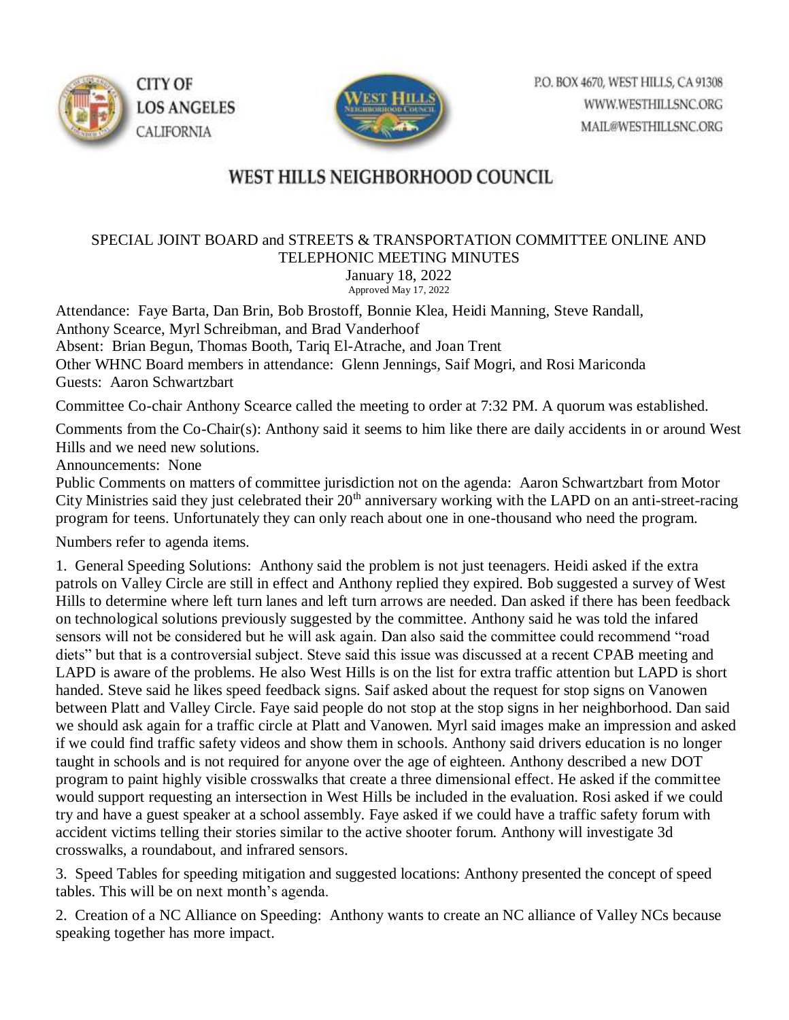



## WEST HILLS NEIGHBORHOOD COUNCIL

## SPECIAL JOINT BOARD and STREETS & TRANSPORTATION COMMITTEE ONLINE AND TELEPHONIC MEETING MINUTES

January 18, 2022 Approved May 17, 2022

Attendance: Faye Barta, Dan Brin, Bob Brostoff, Bonnie Klea, Heidi Manning, Steve Randall, Anthony Scearce, Myrl Schreibman, and Brad Vanderhoof Absent: Brian Begun, Thomas Booth, Tariq El-Atrache, and Joan Trent Other WHNC Board members in attendance: Glenn Jennings, Saif Mogri, and Rosi Mariconda Guests: Aaron Schwartzbart

Committee Co-chair Anthony Scearce called the meeting to order at 7:32 PM. A quorum was established.

Comments from the Co-Chair(s): Anthony said it seems to him like there are daily accidents in or around West Hills and we need new solutions.

Announcements: None

Public Comments on matters of committee jurisdiction not on the agenda: Aaron Schwartzbart from Motor City Ministries said they just celebrated their  $20<sup>th</sup>$  anniversary working with the LAPD on an anti-street-racing program for teens. Unfortunately they can only reach about one in one-thousand who need the program.

Numbers refer to agenda items.

1. General Speeding Solutions: Anthony said the problem is not just teenagers. Heidi asked if the extra patrols on Valley Circle are still in effect and Anthony replied they expired. Bob suggested a survey of West Hills to determine where left turn lanes and left turn arrows are needed. Dan asked if there has been feedback on technological solutions previously suggested by the committee. Anthony said he was told the infared sensors will not be considered but he will ask again. Dan also said the committee could recommend "road diets" but that is a controversial subject. Steve said this issue was discussed at a recent CPAB meeting and LAPD is aware of the problems. He also West Hills is on the list for extra traffic attention but LAPD is short handed. Steve said he likes speed feedback signs. Saif asked about the request for stop signs on Vanowen between Platt and Valley Circle. Faye said people do not stop at the stop signs in her neighborhood. Dan said we should ask again for a traffic circle at Platt and Vanowen. Myrl said images make an impression and asked if we could find traffic safety videos and show them in schools. Anthony said drivers education is no longer taught in schools and is not required for anyone over the age of eighteen. Anthony described a new DOT program to paint highly visible crosswalks that create a three dimensional effect. He asked if the committee would support requesting an intersection in West Hills be included in the evaluation. Rosi asked if we could try and have a guest speaker at a school assembly. Faye asked if we could have a traffic safety forum with accident victims telling their stories similar to the active shooter forum. Anthony will investigate 3d crosswalks, a roundabout, and infrared sensors.

3. Speed Tables for speeding mitigation and suggested locations: Anthony presented the concept of speed tables. This will be on next month's agenda.

2. Creation of a NC Alliance on Speeding: Anthony wants to create an NC alliance of Valley NCs because speaking together has more impact.